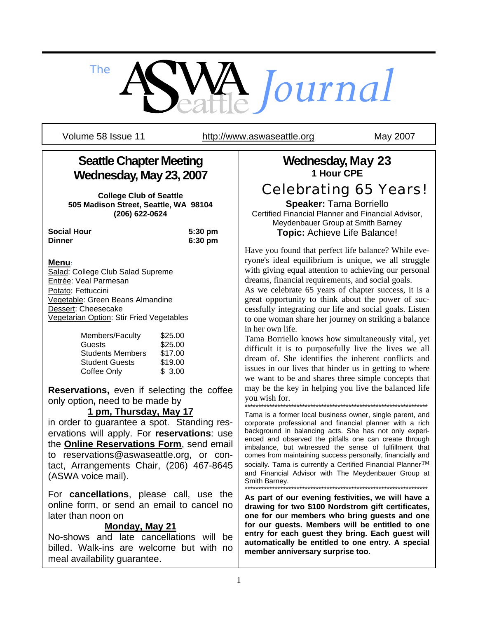*The Journal*

Volume 58 Issue 11 http://www.aswaseattle.org May 2007

# **Seattle Chapter Meeting Wednesday, May 23, 2007**

**College Club of Seattle 505 Madison Street, Seattle, WA 98104 (206) 622-0624** 

**Social Hour 5:30 pm Dinner 6:30 pm**

## **Menu**:

Salad: College Club Salad Supreme Entrée: Veal Parmesan Potato: Fettuccini Vegetable: Green Beans Almandine Dessert: Cheesecake Vegetarian Option: Stir Fried Vegetables

| Members/Faculty         | \$25.00 |
|-------------------------|---------|
| Guests                  | \$25.00 |
| <b>Students Members</b> | \$17.00 |
| <b>Student Guests</b>   | \$19.00 |
| Coffee Only             | \$3.00  |

**Reservations,** even if selecting the coffee only option**,** need to be made by

## **1 pm, Thursday, May 17**

in order to guarantee a spot. Standing reservations will apply. For **reservations**: use the **Online Reservations Form**, send email to reservations@aswaseattle.org, or contact, Arrangements Chair, (206) 467-8645 (ASWA voice mail).

For **cancellations**, please call, use the online form, or send an email to cancel no later than noon on

## **Monday, May 21**

No-shows and late cancellations will be billed. Walk-ins are welcome but with no meal availability guarantee.

## **Wednesday, May 23 1 Hour CPE**

# Celebrating 65 Years!

**Speaker:** Tama Borriello Certified Financial Planner and Financial Advisor, Meydenbauer Group at Smith Barney **Topic:** Achieve Life Balance!

Have you found that perfect life balance? While everyone's ideal equilibrium is unique, we all struggle with giving equal attention to achieving our personal dreams, financial requirements, and social goals.

As we celebrate 65 years of chapter success, it is a great opportunity to think about the power of successfully integrating our life and social goals. Listen to one woman share her journey on striking a balance in her own life.

Tama Borriello knows how simultaneously vital, yet difficult it is to purposefully live the lives we all dream of. She identifies the inherent conflicts and issues in our lives that hinder us in getting to where we want to be and shares three simple concepts that may be the key in helping you live the balanced life you wish for.

\*\*\*\*\*\*\*\*\*\*\*\*\*\*\*\*\*\*\*\*\*\*\*\*\*\*\*\*\*\*\*\*\*\*\*\*\*\*\*\*\*\*\*\*\*\*\*\*\*\*\*\*\*\*\*\*\*\*\*\*\*\*\*\*\*\*\*

Tama is a former local business owner, single parent, and corporate professional and financial planner with a rich background in balancing acts. She has not only experienced and observed the pitfalls one can create through imbalance, but witnessed the sense of fulfillment that comes from maintaining success personally, financially and socially. Tama is currently a Certified Financial Planner*™* and Financial Advisor with The Meydenbauer Group at Smith Barney. \*\*\*\*\*\*\*\*\*\*\*\*\*\*\*\*\*\*\*\*\*\*\*\*\*\*\*\*\*\*\*\*\*\*\*\*\*\*\*\*\*\*\*\*\*\*\*\*\*\*\*\*\*\*\*\*\*\*\*\*\*\*\*\*\*\*\*

**As part of our evening festivities, we will have a drawing for two \$100 Nordstrom gift certificates, one for our members who bring guests and one for our guests. Members will be entitled to one entry for each guest they bring. Each guest will automatically be entitled to one entry. A special member anniversary surprise too.**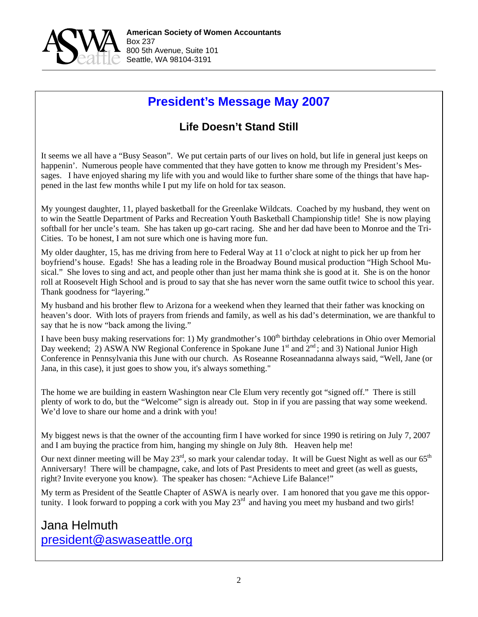

# **President's Message May 2007**

## **Life Doesn't Stand Still**

It seems we all have a "Busy Season". We put certain parts of our lives on hold, but life in general just keeps on happenin'. Numerous people have commented that they have gotten to know me through my President's Messages. I have enjoyed sharing my life with you and would like to further share some of the things that have happened in the last few months while I put my life on hold for tax season.

My youngest daughter, 11, played basketball for the Greenlake Wildcats. Coached by my husband, they went on to win the Seattle Department of Parks and Recreation Youth Basketball Championship title! She is now playing softball for her uncle's team. She has taken up go-cart racing. She and her dad have been to Monroe and the Tri-Cities. To be honest, I am not sure which one is having more fun.

My older daughter, 15, has me driving from here to Federal Way at 11 o'clock at night to pick her up from her boyfriend's house. Egads! She has a leading role in the Broadway Bound musical production "High School Musical." She loves to sing and act, and people other than just her mama think she is good at it. She is on the honor roll at Roosevelt High School and is proud to say that she has never worn the same outfit twice to school this year. Thank goodness for "layering."

My husband and his brother flew to Arizona for a weekend when they learned that their father was knocking on heaven's door. With lots of prayers from friends and family, as well as his dad's determination, we are thankful to say that he is now "back among the living."

I have been busy making reservations for: 1) My grandmother's 100<sup>th</sup> birthday celebrations in Ohio over Memorial Day weekend; 2) ASWA NW Regional Conference in Spokane June  $1<sup>st</sup>$  and  $2<sup>nd</sup>$ ; and 3) National Junior High Conference in Pennsylvania this June with our church. As Roseanne Roseannadanna always said, "Well, Jane (or Jana, in this case), it just goes to show you, it's always something."

The home we are building in eastern Washington near Cle Elum very recently got "signed off." There is still plenty of work to do, but the "Welcome" sign is already out. Stop in if you are passing that way some weekend. We'd love to share our home and a drink with you!

My biggest news is that the owner of the accounting firm I have worked for since 1990 is retiring on July 7, 2007 and I am buying the practice from him, hanging my shingle on July 8th. Heaven help me!

Our next dinner meeting will be May  $23^{\text{rd}}$ , so mark your calendar today. It will be Guest Night as well as our  $65^{\text{th}}$ Anniversary! There will be champagne, cake, and lots of Past Presidents to meet and greet (as well as guests, right? Invite everyone you know). The speaker has chosen: "Achieve Life Balance!"

My term as President of the Seattle Chapter of ASWA is nearly over. I am honored that you gave me this opportunity. I look forward to popping a cork with you May 23<sup>rd</sup> and having you meet my husband and two girls!

Jana Helmuth president@aswaseattle.org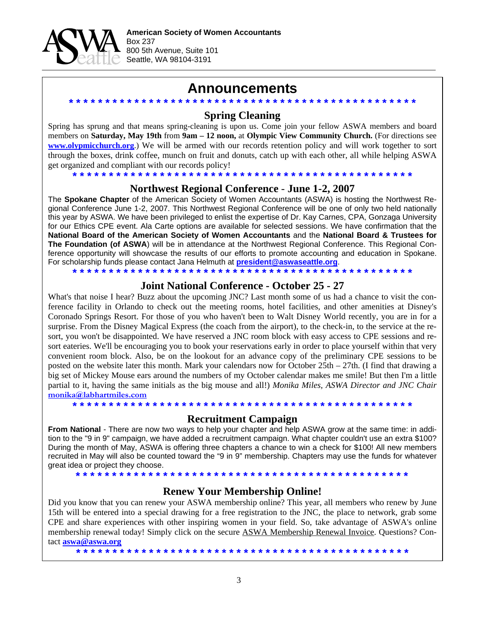

## **Announcements**

**\* \* \* \* \* \* \* \* \* \* \* \* \* \* \* \* \* \* \* \* \* \* \* \* \* \* \* \* \* \* \* \* \* \* \* \* \* \* \* \* \* \* \* \* \* \* \* \*** 

## **Spring Cleaning**

Spring has sprung and that means spring-cleaning is upon us. Come join your fellow ASWA members and board members on **Saturday, May 19th** from **9am – 12 noon,** at **Olympic View Community Church.** (For directions see **www.olypmicchurch.org**.) We will be armed with our records retention policy and will work together to sort through the boxes, drink coffee, munch on fruit and donuts, catch up with each other, all while helping ASWA get organized and compliant with our records policy!

**\* \* \* \* \* \* \* \* \* \* \* \* \* \* \* \* \* \* \* \* \* \* \* \* \* \* \* \* \* \* \* \* \* \* \* \* \* \* \* \* \* \* \* \* \* \* \***

## **Northwest Regional Conference** - **June 1-2, 2007**

The **Spokane Chapter** of the American Society of Women Accountants (ASWA) is hosting the Northwest Regional Conference June 1-2, 2007. This Northwest Regional Conference will be one of only two held nationally this year by ASWA. We have been privileged to enlist the expertise of Dr. Kay Carnes, CPA, Gonzaga University for our Ethics CPE event. Ala Carte options are available for selected sessions. We have confirmation that the **National Board of the American Society of Women Accountants** and the **National Board & Trustees for The Foundation (of ASWA**) will be in attendance at the Northwest Regional Conference. This Regional Conference opportunity will showcase the results of our efforts to promote accounting and education in Spokane. For scholarship funds please contact Jana Helmuth at **president@aswaseattle.org**.

**\* \* \* \* \* \* \* \* \* \* \* \* \* \* \* \* \* \* \* \* \* \* \* \* \* \* \* \* \* \* \* \* \* \* \* \* \* \* \* \* \* \* \* \* \* \* \***

### **Joint National Conference - October 25 - 27**

What's that noise I hear? Buzz about the upcoming JNC? Last month some of us had a chance to visit the conference facility in Orlando to check out the meeting rooms, hotel facilities, and other amenities at Disney's Coronado Springs Resort. For those of you who haven't been to Walt Disney World recently, you are in for a surprise. From the Disney Magical Express (the coach from the airport), to the check-in, to the service at the resort, you won't be disappointed. We have reserved a JNC room block with easy access to CPE sessions and resort eateries. We'll be encouraging you to book your reservations early in order to place yourself within that very convenient room block. Also, be on the lookout for an advance copy of the preliminary CPE sessions to be posted on the website later this month. Mark your calendars now for October 25th – 27th. (I find that drawing a big set of Mickey Mouse ears around the numbers of my October calendar makes me smile! But then I'm a little partial to it, having the same initials as the big mouse and all!) *Monika Miles, ASWA Director and JNC Chair*  **monika@labhartmiles.com**

**Recruitment Campaign**

**\* \* \* \* \* \* \* \* \* \* \* \* \* \* \* \* \* \* \* \* \* \* \* \* \* \* \* \* \* \* \* \* \* \* \* \* \* \* \* \* \* \* \* \* \* \* \*** 

**From National** - There are now two ways to help your chapter and help ASWA grow at the same time: in addition to the "9 in 9" campaign, we have added a recruitment campaign. What chapter couldn't use an extra \$100? During the month of May, ASWA is offering three chapters a chance to win a check for \$100! All new members recruited in May will also be counted toward the "9 in 9" membership. Chapters may use the funds for whatever great idea or project they choose.

**\* \* \* \* \* \* \* \* \* \* \* \* \* \* \* \* \* \* \* \* \* \* \* \* \* \* \* \* \* \* \* \* \* \* \* \* \* \* \* \* \* \* \* \* \* \*** 

### **Renew Your Membership Online!**

Did you know that you can renew your ASWA membership online? This year, all members who renew by June 15th will be entered into a special drawing for a free registration to the JNC, the place to network, grab some CPE and share experiences with other inspiring women in your field. So, take advantage of ASWA's online membership renewal today! Simply click on the secure ASWA Membership Renewal Invoice. Questions? Contact **aswa@aswa.org \* \* \* \* \* \* \* \* \* \* \* \* \* \* \* \* \* \* \* \* \* \* \* \* \* \* \* \* \* \* \* \* \* \* \* \* \* \* \* \* \* \* \* \* \* \***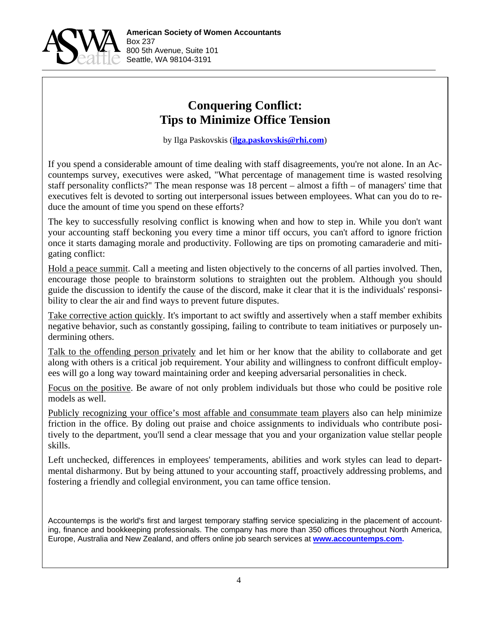

## **Conquering Conflict: Tips to Minimize Office Tension**

by Ilga Paskovskis (**ilga.paskovskis@rhi.com**)

If you spend a considerable amount of time dealing with staff disagreements, you're not alone. In an Accountemps survey, executives were asked, "What percentage of management time is wasted resolving staff personality conflicts?" The mean response was 18 percent – almost a fifth – of managers' time that executives felt is devoted to sorting out interpersonal issues between employees. What can you do to reduce the amount of time you spend on these efforts?

The key to successfully resolving conflict is knowing when and how to step in. While you don't want your accounting staff beckoning you every time a minor tiff occurs, you can't afford to ignore friction once it starts damaging morale and productivity. Following are tips on promoting camaraderie and mitigating conflict:

Hold a peace summit. Call a meeting and listen objectively to the concerns of all parties involved. Then, encourage those people to brainstorm solutions to straighten out the problem. Although you should guide the discussion to identify the cause of the discord, make it clear that it is the individuals' responsibility to clear the air and find ways to prevent future disputes.

Take corrective action quickly. It's important to act swiftly and assertively when a staff member exhibits negative behavior, such as constantly gossiping, failing to contribute to team initiatives or purposely undermining others.

Talk to the offending person privately and let him or her know that the ability to collaborate and get along with others is a critical job requirement. Your ability and willingness to confront difficult employees will go a long way toward maintaining order and keeping adversarial personalities in check.

Focus on the positive. Be aware of not only problem individuals but those who could be positive role models as well.

Publicly recognizing your office's most affable and consummate team players also can help minimize friction in the office. By doling out praise and choice assignments to individuals who contribute positively to the department, you'll send a clear message that you and your organization value stellar people skills.

Left unchecked, differences in employees' temperaments, abilities and work styles can lead to departmental disharmony. But by being attuned to your accounting staff, proactively addressing problems, and fostering a friendly and collegial environment, you can tame office tension.

Accountemps is the world's first and largest temporary staffing service specializing in the placement of accounting, finance and bookkeeping professionals. The company has more than 350 offices throughout North America, Europe, Australia and New Zealand, and offers online job search services at **www.accountemps.com.**